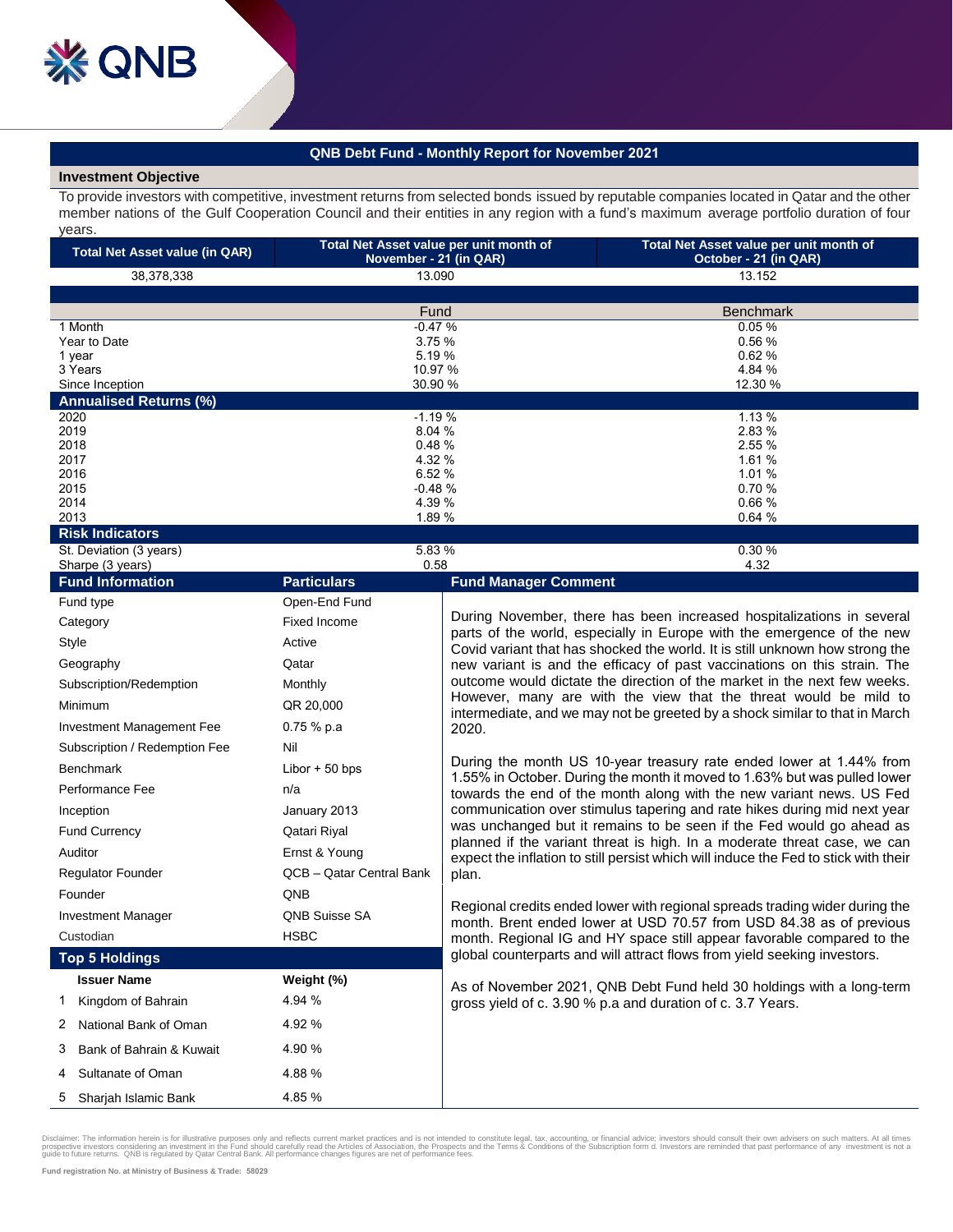## **QNB Debt Fund - Monthly Report for November 2021**

## **Investment Objective**

To provide investors with competitive, investment returns from selected bonds issued by reputable companies located in Qatar and the other member nations of the Gulf Cooperation Council and their entities in any region with a fund's maximum average portfolio duration of four years.

| Total Net Asset value per unit month of<br><b>Total Net Asset value (in QAR)</b><br>November - 21 (in QAR) |                 | Total Net Asset value per unit month of<br>October - 21 (in QAR) |
|------------------------------------------------------------------------------------------------------------|-----------------|------------------------------------------------------------------|
| 38,378,338                                                                                                 | 13.090          | 13.152                                                           |
|                                                                                                            |                 |                                                                  |
|                                                                                                            | Fund            | <b>Benchmark</b>                                                 |
| 1 Month                                                                                                    | $-0.47%$        | 0.05%                                                            |
| Year to Date                                                                                               | 3.75%           | 0.56%                                                            |
| 1 year                                                                                                     | 5.19 %          | 0.62%                                                            |
| 3 Years                                                                                                    | 10.97 %         | 4.84 %                                                           |
| Since Inception                                                                                            | 30.90 %         | 12.30 %                                                          |
| <b>Annualised Returns (%)</b>                                                                              |                 |                                                                  |
| 2020                                                                                                       | $-1.19%$        | 1.13%                                                            |
| 2019                                                                                                       | 8.04%           | 2.83 %                                                           |
| 2018                                                                                                       | 0.48%           | 2.55 %                                                           |
| 2017                                                                                                       | 4.32 %          | 1.61 %                                                           |
| 2016                                                                                                       | 6.52%           | 1.01 %                                                           |
| 2015                                                                                                       | $-0.48%$        | 0.70%                                                            |
| 2014                                                                                                       | 4.39 %<br>0.66% |                                                                  |
| 2013<br>1.89 %                                                                                             |                 | 0.64%                                                            |
| <b>Risk Indicators</b>                                                                                     |                 |                                                                  |

|                           | St. Deviation (3 years)                     | 5.83%                      | 0.30%                                                                                                                                                                                                                                                                                                                                                                                                                                                                                                                                               |
|---------------------------|---------------------------------------------|----------------------------|-----------------------------------------------------------------------------------------------------------------------------------------------------------------------------------------------------------------------------------------------------------------------------------------------------------------------------------------------------------------------------------------------------------------------------------------------------------------------------------------------------------------------------------------------------|
|                           | Sharpe (3 years)<br><b>Fund Information</b> | 0.58<br><b>Particulars</b> | 4.32<br><b>Fund Manager Comment</b>                                                                                                                                                                                                                                                                                                                                                                                                                                                                                                                 |
|                           | Fund type                                   | Open-End Fund              |                                                                                                                                                                                                                                                                                                                                                                                                                                                                                                                                                     |
|                           | Category                                    | <b>Fixed Income</b>        | During November, there has been increased hospitalizations in several<br>parts of the world, especially in Europe with the emergence of the new<br>Covid variant that has shocked the world. It is still unknown how strong the<br>new variant is and the efficacy of past vaccinations on this strain. The<br>outcome would dictate the direction of the market in the next few weeks.<br>However, many are with the view that the threat would be mild to<br>intermediate, and we may not be greeted by a shock similar to that in March<br>2020. |
| Style                     |                                             | Active                     |                                                                                                                                                                                                                                                                                                                                                                                                                                                                                                                                                     |
|                           | Geography                                   | Qatar                      |                                                                                                                                                                                                                                                                                                                                                                                                                                                                                                                                                     |
|                           | Subscription/Redemption                     | Monthly                    |                                                                                                                                                                                                                                                                                                                                                                                                                                                                                                                                                     |
|                           | Minimum                                     | QR 20,000                  |                                                                                                                                                                                                                                                                                                                                                                                                                                                                                                                                                     |
|                           | Investment Management Fee                   | $0.75%$ p.a                |                                                                                                                                                                                                                                                                                                                                                                                                                                                                                                                                                     |
|                           | Subscription / Redemption Fee               | Nil                        |                                                                                                                                                                                                                                                                                                                                                                                                                                                                                                                                                     |
|                           | <b>Benchmark</b>                            | Libor $+50$ bps            | During the month US 10-year treasury rate ended lower at 1.44% from<br>1.55% in October. During the month it moved to 1.63% but was pulled lower<br>towards the end of the month along with the new variant news. US Fed<br>communication over stimulus tapering and rate hikes during mid next year                                                                                                                                                                                                                                                |
|                           | Performance Fee                             | n/a                        |                                                                                                                                                                                                                                                                                                                                                                                                                                                                                                                                                     |
|                           | Inception                                   | January 2013               |                                                                                                                                                                                                                                                                                                                                                                                                                                                                                                                                                     |
| <b>Fund Currency</b>      |                                             | Qatari Riyal               | was unchanged but it remains to be seen if the Fed would go ahead as                                                                                                                                                                                                                                                                                                                                                                                                                                                                                |
|                           | Auditor                                     | Ernst & Young              | planned if the variant threat is high. In a moderate threat case, we can<br>expect the inflation to still persist which will induce the Fed to stick with their                                                                                                                                                                                                                                                                                                                                                                                     |
|                           | <b>Regulator Founder</b>                    | QCB - Qatar Central Bank   | plan.                                                                                                                                                                                                                                                                                                                                                                                                                                                                                                                                               |
|                           | Founder                                     | QNB                        |                                                                                                                                                                                                                                                                                                                                                                                                                                                                                                                                                     |
| <b>Investment Manager</b> |                                             | <b>QNB Suisse SA</b>       | Regional credits ended lower with regional spreads trading wider during the<br>month. Brent ended lower at USD 70.57 from USD 84.38 as of previous                                                                                                                                                                                                                                                                                                                                                                                                  |
|                           | Custodian                                   | <b>HSBC</b>                | month. Regional IG and HY space still appear favorable compared to the                                                                                                                                                                                                                                                                                                                                                                                                                                                                              |
| <b>Top 5 Holdings</b>     |                                             |                            | global counterparts and will attract flows from yield seeking investors.                                                                                                                                                                                                                                                                                                                                                                                                                                                                            |
|                           | <b>Issuer Name</b>                          | Weight (%)                 | As of November 2021, QNB Debt Fund held 30 holdings with a long-term                                                                                                                                                                                                                                                                                                                                                                                                                                                                                |
| 1                         | Kingdom of Bahrain                          | 4.94 %                     | gross yield of c. 3.90 % p.a and duration of c. 3.7 Years.                                                                                                                                                                                                                                                                                                                                                                                                                                                                                          |
| 2                         | National Bank of Oman                       | 4.92%                      |                                                                                                                                                                                                                                                                                                                                                                                                                                                                                                                                                     |
| 3                         | Bank of Bahrain & Kuwait                    | 4.90%                      |                                                                                                                                                                                                                                                                                                                                                                                                                                                                                                                                                     |
| 4                         | Sultanate of Oman                           | 4.88%                      |                                                                                                                                                                                                                                                                                                                                                                                                                                                                                                                                                     |
| 5                         | Sharjah Islamic Bank                        | 4.85%                      |                                                                                                                                                                                                                                                                                                                                                                                                                                                                                                                                                     |

Disclaimer: The information herein is for illustrative purposes only and reflects current market practices and is not intended to constitute legal, tax, accounting, or financial advice; investors should consult their own a